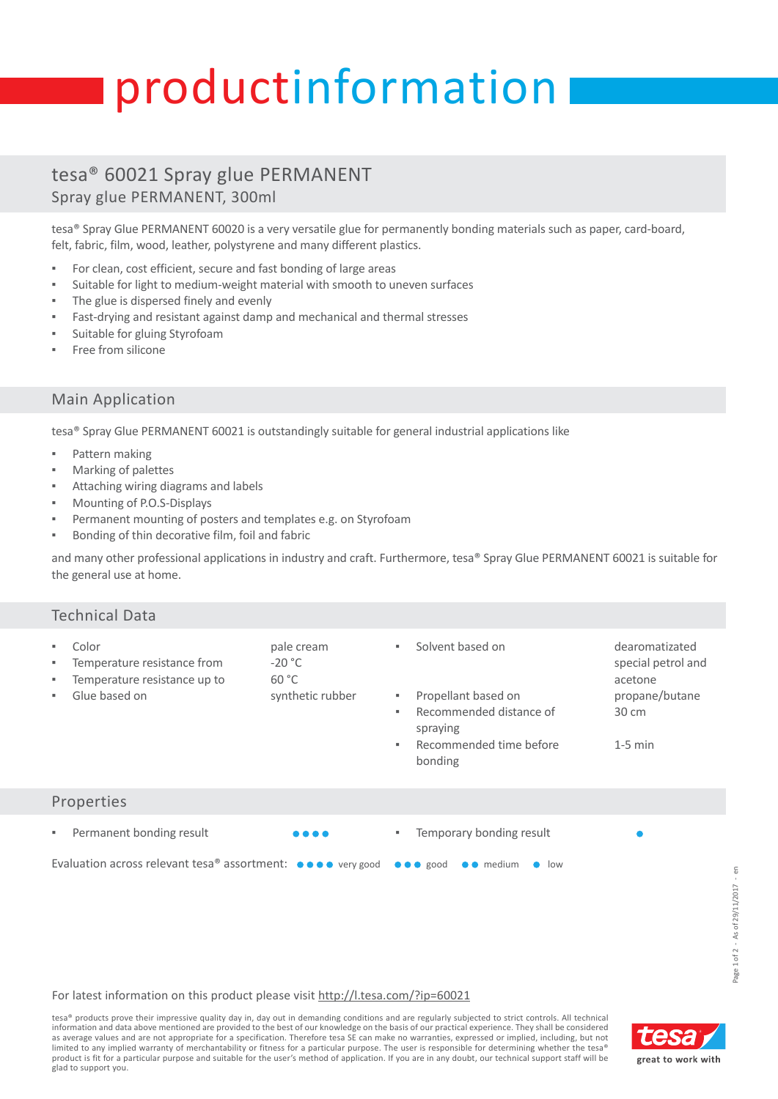# productinformation

## tesa® 60021 Spray glue PERMANENT Spray glue PERMANENT, 300ml

tesa® Spray Glue PERMANENT 60020 is a very versatile glue for permanently bonding materials such as paper, card-board, felt, fabric, film, wood, leather, polystyrene and many different plastics.

- For clean, cost efficient, secure and fast bonding of large areas
- Suitable for light to medium-weight material with smooth to uneven surfaces
- The glue is dispersed finely and evenly
- Fast-drying and resistant against damp and mechanical and thermal stresses
- Suitable for gluing Styrofoam
- Free from silicone

### Main Application

tesa® Spray Glue PERMANENT 60021 is outstandingly suitable for general industrial applications like

- Pattern making
- Marking of palettes
- Attaching wiring diagrams and labels
- Mounting of P.O.S-Displays
- Permanent mounting of posters and templates e.g. on Styrofoam
- Bonding of thin decorative film, foil and fabric

and many other professional applications in industry and craft. Furthermore, tesa® Spray Glue PERMANENT 60021 is suitable for the general use at home.

| <b>Technical Data</b>                                                                                                                                                |                                                     |                                                                                                                                                          |                                                                                                   |
|----------------------------------------------------------------------------------------------------------------------------------------------------------------------|-----------------------------------------------------|----------------------------------------------------------------------------------------------------------------------------------------------------------|---------------------------------------------------------------------------------------------------|
| Color<br>٠<br>Temperature resistance from<br>٠<br>Temperature resistance up to<br>٠<br>Glue based on<br>٠                                                            | pale cream<br>$-20 °C$<br>60 °C<br>synthetic rubber | Solvent based on<br>$\mathbf{u}$ .<br>Propellant based on<br>н.<br>Recommended distance of<br>٠.<br>spraying<br>Recommended time before<br>٠.<br>bonding | dearomatizated<br>special petrol and<br>acetone<br>propane/butane<br>$30 \text{ cm}$<br>$1-5$ min |
| Properties                                                                                                                                                           |                                                     |                                                                                                                                                          |                                                                                                   |
| Permanent bonding result<br>٠<br>Evaluation across relevant tesa <sup>®</sup> assortment: $\bullet \bullet \bullet \bullet$ very good $\bullet \bullet \bullet$ good | .                                                   | Temporary bonding result<br>٠,<br>$\bullet$ medium<br>$\bullet$ low                                                                                      |                                                                                                   |
|                                                                                                                                                                      |                                                     |                                                                                                                                                          |                                                                                                   |

#### For latest information on this product please visit [http://l.tesa.com/?ip=60021](http://l.tesa.com/?ip=60021&utm_source=tesa_pi-sheet&utm_medium=referral&utm_content=00000&utm_campaign=Industry_Products)

tesa® products prove their impressive quality day in, day out in demanding conditions and are regularly subjected to strict controls. All technical information and data above mentioned are provided to the best of our knowledge on the basis of our practical experience. They shall be considered as average values and are not appropriate for a specification. Therefore tesa SE can make no warranties, expressed or implied, including, but not limited to any implied warranty of merchantability or fitness for a particular purpose. The user is responsible for determining whether the tesa® product is fit for a particular purpose and suitable for the user's method of application. If you are in any doubt, our technical support staff will be glad to support you.